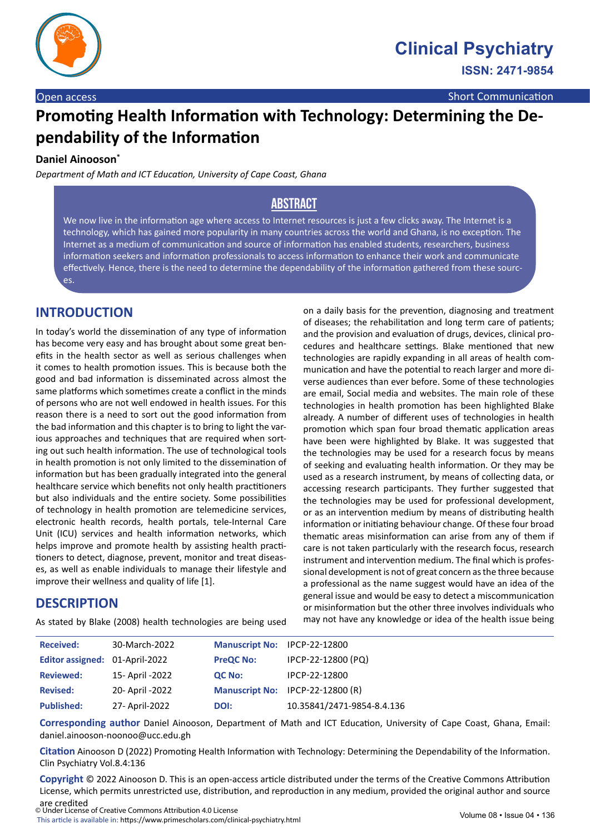

# **Promoting Health Information with Technology: Determining the Dependability of the Information**

#### **Daniel Ainooson\***

*Department of Math and ICT Education, University of Cape Coast, Ghana*

# **Abstract**

We now live in the information age where access to Internet resources is just a few clicks away. The Internet is a technology, which has gained more popularity in many countries across the world and Ghana, is no exception. The Internet as a medium of communication and source of information has enabled students, researchers, business information seekers and information professionals to access information to enhance their work and communicate effectively. Hence, there is the need to determine the dependability of the information gathered from these sources.

## **INTRODUCTION**

In today's world the dissemination of any type of information has become very easy and has brought about some great benefits in the health sector as well as serious challenges when it comes to health promotion issues. This is because both the good and bad information is disseminated across almost the same platforms which sometimes create a conflict in the minds of persons who are not well endowed in health issues. For this reason there is a need to sort out the good information from the bad information and this chapter is to bring to light the various approaches and techniques that are required when sorting out such health information. The use of technological tools in health promotion is not only limited to the dissemination of information but has been gradually integrated into the general healthcare service which benefits not only health practitioners but also individuals and the entire society. Some possibilities of technology in health promotion are telemedicine services, electronic health records, health portals, tele-Internal Care Unit (ICU) services and health information networks, which helps improve and promote health by assisting health practitioners to detect, diagnose, prevent, monitor and treat diseases, as well as enable individuals to manage their lifestyle and improve their wellness and quality of life [1].

#### **DESCRIPTION**

As stated by Blake (2008) health technologies are being used

on a daily basis for the prevention, diagnosing and treatment of diseases; the rehabilitation and long term care of patients; and the provision and evaluation of drugs, devices, clinical procedures and healthcare settings. Blake mentioned that new technologies are rapidly expanding in all areas of health communication and have the potential to reach larger and more diverse audiences than ever before. Some of these technologies are email, Social media and websites. The main role of these technologies in health promotion has been highlighted Blake already. A number of different uses of technologies in health promotion which span four broad thematic application areas have been were highlighted by Blake. It was suggested that the technologies may be used for a research focus by means of seeking and evaluating health information. Or they may be used as a research instrument, by means of collecting data, or accessing research participants. They further suggested that the technologies may be used for professional development, or as an intervention medium by means of distributing health information or initiating behaviour change. Of these four broad thematic areas misinformation can arise from any of them if care is not taken particularly with the research focus, research instrument and intervention medium. The final which is professional development is not of great concern as the three because a professional as the name suggest would have an idea of the general issue and would be easy to detect a miscommunication or misinformation but the other three involves individuals who may not have any knowledge or idea of the health issue being

| <b>Received:</b>               | 30-March-2022    | Manuscript No: IPCP-22-12800 |                                  |
|--------------------------------|------------------|------------------------------|----------------------------------|
| Editor assigned: 01-April-2022 |                  | <b>PreQC No:</b>             | IPCP-22-12800 (PQ)               |
| <b>Reviewed:</b>               | 15- April -2022  | QC No:                       | IPCP-22-12800                    |
| <b>Revised:</b>                | 20- April - 2022 |                              | Manuscript No: IPCP-22-12800 (R) |
| <b>Published:</b>              | 27- April-2022   | DOI:                         | 10.35841/2471-9854-8.4.136       |

**Corresponding author** Daniel Ainooson, Department of Math and ICT Education, University of Cape Coast, Ghana, Email: daniel.ainooson-noonoo@ucc.edu.gh

**Citation** Ainooson D (2022) Promoting Health Information with Technology: Determining the Dependability of the Information. Clin Psychiatry Vol.8.4:136

**Copyright** © 2022 Ainooson D. This is an open-access article distributed under the terms of the Creative Commons Attribution License, which permits unrestricted use, distribution, and reproduction in any medium, provided the original author and source are credited

© Under License of Creative Commons Attribution 4.0 License This article is available in: https://www.primescholars.com/clinical-psychiatry.html Volume 08 • Issue 04 • 136<br>This article is available in: https://www.primescholars.com/clinical-psychiatry.html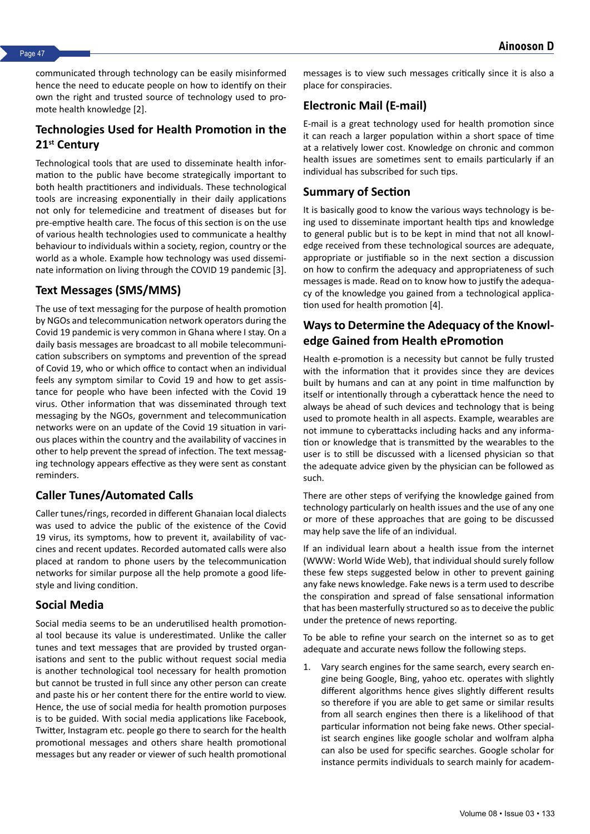communicated through technology can be easily misinformed hence the need to educate people on how to identify on their own the right and trusted source of technology used to promote health knowledge [2].

#### **Technologies Used for Health Promotion in the 21st Century**

Technological tools that are used to disseminate health information to the public have become strategically important to both health practitioners and individuals. These technological tools are increasing exponentially in their daily applications not only for telemedicine and treatment of diseases but for pre-emptive health care. The focus of this section is on the use of various health technologies used to communicate a healthy behaviour to individuals within a society, region, country or the world as a whole. Example how technology was used disseminate information on living through the COVID 19 pandemic [3].

#### **Text Messages (SMS/MMS)**

The use of text messaging for the purpose of health promotion by NGOs and telecommunication network operators during the Covid 19 pandemic is very common in Ghana where I stay. On a daily basis messages are broadcast to all mobile telecommunication subscribers on symptoms and prevention of the spread of Covid 19, who or which office to contact when an individual feels any symptom similar to Covid 19 and how to get assistance for people who have been infected with the Covid 19 virus. Other information that was disseminated through text messaging by the NGOs, government and telecommunication networks were on an update of the Covid 19 situation in various places within the country and the availability of vaccines in other to help prevent the spread of infection. The text messaging technology appears effective as they were sent as constant reminders.

## **Caller Tunes/Automated Calls**

Caller tunes/rings, recorded in different Ghanaian local dialects was used to advice the public of the existence of the Covid 19 virus, its symptoms, how to prevent it, availability of vaccines and recent updates. Recorded automated calls were also placed at random to phone users by the telecommunication networks for similar purpose all the help promote a good lifestyle and living condition.

## **Social Media**

Social media seems to be an underutilised health promotional tool because its value is underestimated. Unlike the caller tunes and text messages that are provided by trusted organisations and sent to the public without request social media is another technological tool necessary for health promotion but cannot be trusted in full since any other person can create and paste his or her content there for the entire world to view. Hence, the use of social media for health promotion purposes is to be guided. With social media applications like Facebook, Twitter, Instagram etc. people go there to search for the health promotional messages and others share health promotional messages but any reader or viewer of such health promotional messages is to view such messages critically since it is also a place for conspiracies.

#### **Electronic Mail (E-mail)**

E-mail is a great technology used for health promotion since it can reach a larger population within a short space of time at a relatively lower cost. Knowledge on chronic and common health issues are sometimes sent to emails particularly if an individual has subscribed for such tips.

#### **Summary of Section**

It is basically good to know the various ways technology is being used to disseminate important health tips and knowledge to general public but is to be kept in mind that not all knowledge received from these technological sources are adequate, appropriate or justifiable so in the next section a discussion on how to confirm the adequacy and appropriateness of such messages is made. Read on to know how to justify the adequacy of the knowledge you gained from a technological application used for health promotion [4].

#### **Ways to Determine the Adequacy of the Knowledge Gained from Health ePromotion**

Health e-promotion is a necessity but cannot be fully trusted with the information that it provides since they are devices built by humans and can at any point in time malfunction by itself or intentionally through a cyberattack hence the need to always be ahead of such devices and technology that is being used to promote health in all aspects. Example, wearables are not immune to cyberattacks including hacks and any information or knowledge that is transmitted by the wearables to the user is to still be discussed with a licensed physician so that the adequate advice given by the physician can be followed as such.

There are other steps of verifying the knowledge gained from technology particularly on health issues and the use of any one or more of these approaches that are going to be discussed may help save the life of an individual.

If an individual learn about a health issue from the internet (WWW: World Wide Web), that individual should surely follow these few steps suggested below in other to prevent gaining any fake news knowledge. Fake news is a term used to describe the conspiration and spread of false sensational information that has been masterfully structured so as to deceive the public under the pretence of news reporting.

To be able to refine your search on the internet so as to get adequate and accurate news follow the following steps.

1. Vary search engines for the same search, every search engine being Google, Bing, yahoo etc. operates with slightly different algorithms hence gives slightly different results so therefore if you are able to get same or similar results from all search engines then there is a likelihood of that particular information not being fake news. Other specialist search engines like google scholar and wolfram alpha can also be used for specific searches. Google scholar for instance permits individuals to search mainly for academ